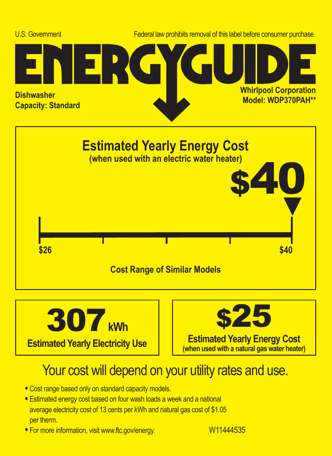





## Your cost will depend on your utility rates and use.

- **•** Cost range based only on standard capacity models.
- **•** Estimated energy cost based on four wash loads a week and a national average electricity cost of 13 cents per kWh and natural gas cost of \$1.05 per therm.
- For more information, visit www.ftc.gov/energy. W11444535